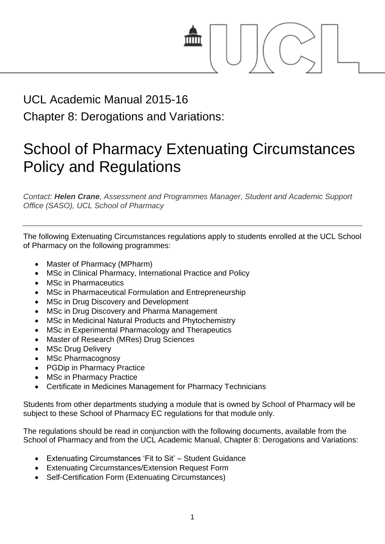

# UCL Academic Manual 2015-16

Chapter 8: Derogations and Variations:

## School of Pharmacy Extenuating Circumstances Policy and Regulations

*Contact: Helen Crane, Assessment and Programmes Manager, Student and Academic Support Office (SASO), UCL School of Pharmacy*

The following Extenuating Circumstances regulations apply to students enrolled at the UCL School of Pharmacy on the following programmes:

- Master of Pharmacy (MPharm)
- MSc in Clinical Pharmacy, International Practice and Policy
- MSc in Pharmaceutics
- MSc in Pharmaceutical Formulation and Entrepreneurship
- MSc in Drug Discovery and Development
- MSc in Drug Discovery and Pharma Management
- MSc in Medicinal Natural Products and Phytochemistry
- MSc in Experimental Pharmacology and Therapeutics
- Master of Research (MRes) Drug Sciences
- MSc Drug Delivery
- MSc Pharmacognosy
- PGDip in Pharmacy Practice
- MSc in Pharmacy Practice
- Certificate in Medicines Management for Pharmacy Technicians

Students from other departments studying a module that is owned by School of Pharmacy will be subject to these School of Pharmacy EC regulations for that module only.

The regulations should be read in conjunction with the following documents, available from the School of Pharmacy and from the UCL Academic Manual, Chapter 8: Derogations and Variations:

- Extenuating Circumstances 'Fit to Sit' Student Guidance
- Extenuating Circumstances/Extension Request Form
- Self-Certification Form (Extenuating Circumstances)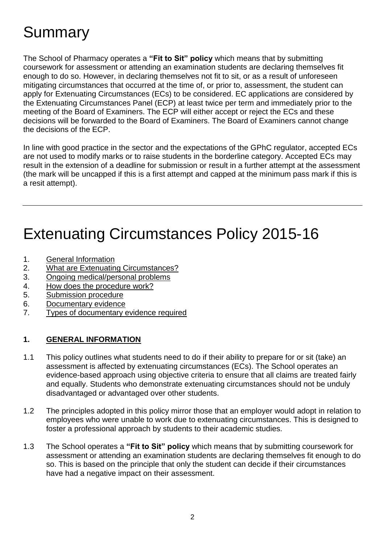## **Summary**

The School of Pharmacy operates a **"Fit to Sit" policy** which means that by submitting coursework for assessment or attending an examination students are declaring themselves fit enough to do so. However, in declaring themselves not fit to sit, or as a result of unforeseen mitigating circumstances that occurred at the time of, or prior to, assessment, the student can apply for Extenuating Circumstances (ECs) to be considered. EC applications are considered by the Extenuating Circumstances Panel (ECP) at least twice per term and immediately prior to the meeting of the Board of Examiners. The ECP will either accept or reject the ECs and these decisions will be forwarded to the Board of Examiners. The Board of Examiners cannot change the decisions of the ECP.

In line with good practice in the sector and the expectations of the GPhC regulator, accepted ECs are not used to modify marks or to raise students in the borderline category. Accepted ECs may result in the extension of a deadline for submission or result in a further attempt at the assessment (the mark will be uncapped if this is a first attempt and capped at the minimum pass mark if this is a resit attempt).

## Extenuating Circumstances Policy 2015-16

- 1. [General Information](#page-1-0)
- 2. [What are Extenuating Circumstances?](#page-2-0)
- 3. [Ongoing medical/personal problems](#page-3-0)
- 4. [How does the procedure work?](#page-4-0)
- 5. [Submission procedure](#page-5-0)
- 6. [Documentary evidence](#page-6-0)
- 7. [Types of documentary evidence required](#page-7-0)

#### <span id="page-1-0"></span>**1. GENERAL INFORMATION**

- 1.1 This policy outlines what students need to do if their ability to prepare for or sit (take) an assessment is affected by extenuating circumstances (ECs). The School operates an evidence-based approach using objective criteria to ensure that all claims are treated fairly and equally. Students who demonstrate extenuating circumstances should not be unduly disadvantaged or advantaged over other students.
- 1.2 The principles adopted in this policy mirror those that an employer would adopt in relation to employees who were unable to work due to extenuating circumstances. This is designed to foster a professional approach by students to their academic studies.
- 1.3 The School operates a **"Fit to Sit" policy** which means that by submitting coursework for assessment or attending an examination students are declaring themselves fit enough to do so. This is based on the principle that only the student can decide if their circumstances have had a negative impact on their assessment.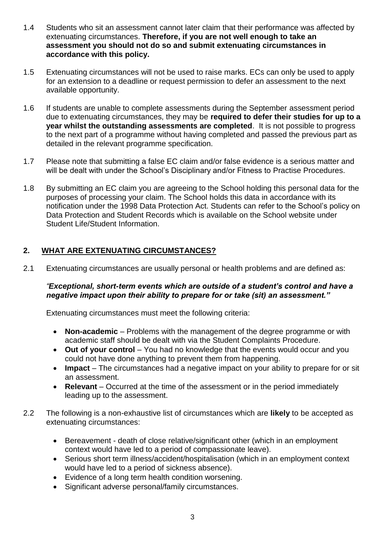- 1.4 Students who sit an assessment cannot later claim that their performance was affected by extenuating circumstances. **Therefore, if you are not well enough to take an assessment you should not do so and submit extenuating circumstances in accordance with this policy.**
- 1.5 Extenuating circumstances will not be used to raise marks. ECs can only be used to apply for an extension to a deadline or request permission to defer an assessment to the next available opportunity.
- 1.6 If students are unable to complete assessments during the September assessment period due to extenuating circumstances, they may be **required to defer their studies for up to a year whilst the outstanding assessments are completed**. It is not possible to progress to the next part of a programme without having completed and passed the previous part as detailed in the relevant programme specification.
- 1.7 Please note that submitting a false EC claim and/or false evidence is a serious matter and will be dealt with under the School's Disciplinary and/or Fitness to Practise Procedures.
- 1.8 By submitting an EC claim you are agreeing to the School holding this personal data for the purposes of processing your claim. The School holds this data in accordance with its notification under the 1998 Data Protection Act. Students can refer to the School's policy on Data Protection and Student Records which is available on the School website under Student Life/Student Information.

### <span id="page-2-0"></span>**2. WHAT ARE EXTENUATING CIRCUMSTANCES?**

2.1 Extenuating circumstances are usually personal or health problems and are defined as:

#### *"Exceptional, short-term events which are outside of a student's control and have a negative impact upon their ability to prepare for or take (sit) an assessment."*

Extenuating circumstances must meet the following criteria:

- **Non-academic**  Problems with the management of the degree programme or with academic staff should be dealt with via the Student Complaints Procedure.
- Out of your control You had no knowledge that the events would occur and you could not have done anything to prevent them from happening.
- Impact The circumstances had a negative impact on your ability to prepare for or sit an assessment.
- **Relevant** Occurred at the time of the assessment or in the period immediately leading up to the assessment.
- 2.2 The following is a non-exhaustive list of circumstances which are **likely** to be accepted as extenuating circumstances:
	- Bereavement death of close relative/significant other (which in an employment context would have led to a period of compassionate leave).
	- Serious short term illness/accident/hospitalisation (which in an employment context would have led to a period of sickness absence).
	- Evidence of a long term health condition worsening.
	- Significant adverse personal/family circumstances.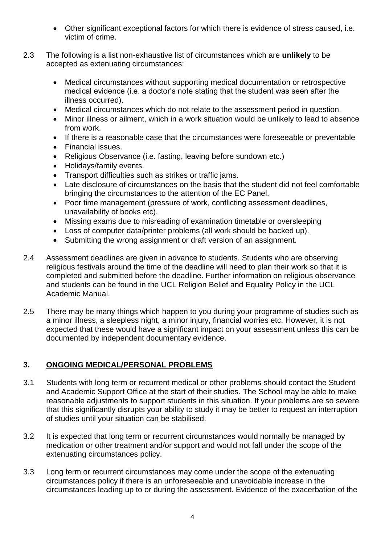- Other significant exceptional factors for which there is evidence of stress caused, i.e. victim of crime.
- 2.3 The following is a list non-exhaustive list of circumstances which are **unlikely** to be accepted as extenuating circumstances:
	- Medical circumstances without supporting medical documentation or retrospective medical evidence (i.e. a doctor's note stating that the student was seen after the illness occurred).
	- Medical circumstances which do not relate to the assessment period in question.
	- Minor illness or ailment, which in a work situation would be unlikely to lead to absence from work.
	- If there is a reasonable case that the circumstances were foreseeable or preventable
	- Financial issues.
	- Religious Observance (i.e. fasting, leaving before sundown etc.)
	- Holidays/family events.
	- Transport difficulties such as strikes or traffic jams.
	- Late disclosure of circumstances on the basis that the student did not feel comfortable bringing the circumstances to the attention of the EC Panel.
	- Poor time management (pressure of work, conflicting assessment deadlines, unavailability of books etc).
	- Missing exams due to misreading of examination timetable or oversleeping
	- Loss of computer data/printer problems (all work should be backed up).
	- Submitting the wrong assignment or draft version of an assignment.
- 2.4 Assessment deadlines are given in advance to students. Students who are observing religious festivals around the time of the deadline will need to plan their work so that it is completed and submitted before the deadline. Further information on religious observance and students can be found in the UCL Religion Belief and Equality Policy in the UCL Academic Manual.
- 2.5 There may be many things which happen to you during your programme of studies such as a minor illness, a sleepless night, a minor injury, financial worries etc. However, it is not expected that these would have a significant impact on your assessment unless this can be documented by independent documentary evidence.

## <span id="page-3-0"></span>**3. ONGOING MEDICAL/PERSONAL PROBLEMS**

- 3.1 Students with long term or recurrent medical or other problems should contact the Student and Academic Support Office at the start of their studies. The School may be able to make reasonable adjustments to support students in this situation. If your problems are so severe that this significantly disrupts your ability to study it may be better to request an interruption of studies until your situation can be stabilised.
- 3.2 It is expected that long term or recurrent circumstances would normally be managed by medication or other treatment and/or support and would not fall under the scope of the extenuating circumstances policy.
- 3.3 Long term or recurrent circumstances may come under the scope of the extenuating circumstances policy if there is an unforeseeable and unavoidable increase in the circumstances leading up to or during the assessment. Evidence of the exacerbation of the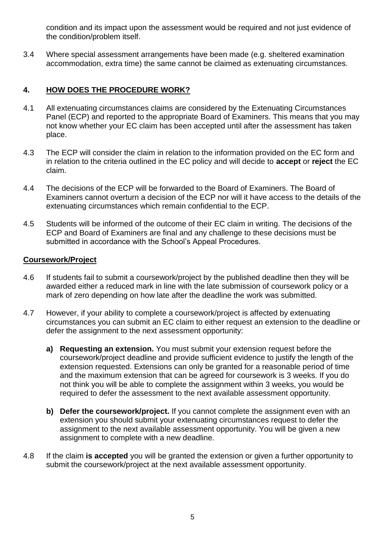condition and its impact upon the assessment would be required and not just evidence of the condition/problem itself.

3.4 Where special assessment arrangements have been made (e.g. sheltered examination accommodation, extra time) the same cannot be claimed as extenuating circumstances.

#### <span id="page-4-0"></span>**4. HOW DOES THE PROCEDURE WORK?**

- 4.1 All extenuating circumstances claims are considered by the Extenuating Circumstances Panel (ECP) and reported to the appropriate Board of Examiners. This means that you may not know whether your EC claim has been accepted until after the assessment has taken place.
- 4.3 The ECP will consider the claim in relation to the information provided on the EC form and in relation to the criteria outlined in the EC policy and will decide to **accept** or **reject** the EC claim.
- 4.4 The decisions of the ECP will be forwarded to the Board of Examiners. The Board of Examiners cannot overturn a decision of the ECP nor will it have access to the details of the extenuating circumstances which remain confidential to the ECP.
- 4.5 Students will be informed of the outcome of their EC claim in writing. The decisions of the ECP and Board of Examiners are final and any challenge to these decisions must be submitted in accordance with the School's Appeal Procedures.

#### **Coursework/Project**

- 4.6 If students fail to submit a coursework/project by the published deadline then they will be awarded either a reduced mark in line with the late submission of coursework policy or a mark of zero depending on how late after the deadline the work was submitted.
- 4.7 However, if your ability to complete a coursework/project is affected by extenuating circumstances you can submit an EC claim to either request an extension to the deadline or defer the assignment to the next assessment opportunity:
	- **a) Requesting an extension.** You must submit your extension request before the coursework/project deadline and provide sufficient evidence to justify the length of the extension requested. Extensions can only be granted for a reasonable period of time and the maximum extension that can be agreed for coursework is 3 weeks. If you do not think you will be able to complete the assignment within 3 weeks, you would be required to defer the assessment to the next available assessment opportunity.
	- **b) Defer the coursework/project.** If you cannot complete the assignment even with an extension you should submit your extenuating circumstances request to defer the assignment to the next available assessment opportunity. You will be given a new assignment to complete with a new deadline.
- 4.8 If the claim **is accepted** you will be granted the extension or given a further opportunity to submit the coursework/project at the next available assessment opportunity.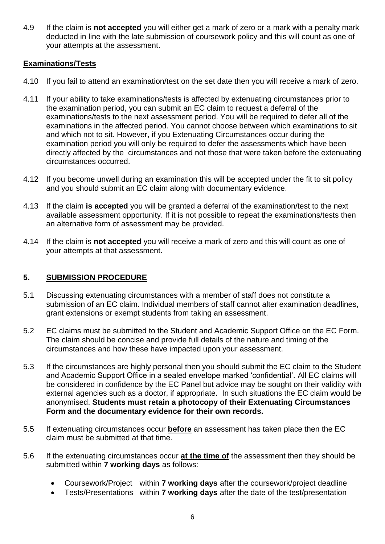4.9 If the claim is **not accepted** you will either get a mark of zero or a mark with a penalty mark deducted in line with the late submission of coursework policy and this will count as one of your attempts at the assessment.

#### **Examinations/Tests**

- 4.10 If you fail to attend an examination/test on the set date then you will receive a mark of zero.
- 4.11 If your ability to take examinations/tests is affected by extenuating circumstances prior to the examination period, you can submit an EC claim to request a deferral of the examinations/tests to the next assessment period. You will be required to defer all of the examinations in the affected period. You cannot choose between which examinations to sit and which not to sit. However, if you Extenuating Circumstances occur during the examination period you will only be required to defer the assessments which have been directly affected by the circumstances and not those that were taken before the extenuating circumstances occurred.
- 4.12 If you become unwell during an examination this will be accepted under the fit to sit policy and you should submit an EC claim along with documentary evidence.
- 4.13 If the claim **is accepted** you will be granted a deferral of the examination/test to the next available assessment opportunity. If it is not possible to repeat the examinations/tests then an alternative form of assessment may be provided.
- 4.14 If the claim is **not accepted** you will receive a mark of zero and this will count as one of your attempts at that assessment.

#### <span id="page-5-0"></span>**5. SUBMISSION PROCEDURE**

- 5.1 Discussing extenuating circumstances with a member of staff does not constitute a submission of an EC claim. Individual members of staff cannot alter examination deadlines, grant extensions or exempt students from taking an assessment.
- 5.2 EC claims must be submitted to the Student and Academic Support Office on the EC Form. The claim should be concise and provide full details of the nature and timing of the circumstances and how these have impacted upon your assessment.
- 5.3 If the circumstances are highly personal then you should submit the EC claim to the Student and Academic Support Office in a sealed envelope marked 'confidential'. All EC claims will be considered in confidence by the EC Panel but advice may be sought on their validity with external agencies such as a doctor, if appropriate. In such situations the EC claim would be anonymised. **Students must retain a photocopy of their Extenuating Circumstances Form and the documentary evidence for their own records.**
- 5.5 If extenuating circumstances occur **before** an assessment has taken place then the EC claim must be submitted at that time.
- 5.6 If the extenuating circumstances occur **at the time of** the assessment then they should be submitted within **7 working days** as follows:
	- Coursework/Project within **7 working days** after the coursework/project deadline
	- Tests/Presentations within **7 working days** after the date of the test/presentation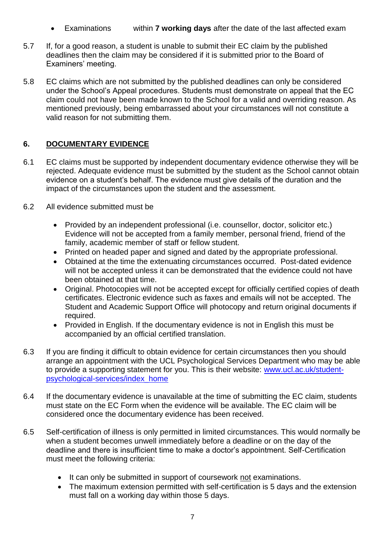- Examinations within **7 working days** after the date of the last affected exam
- 5.7 If, for a good reason, a student is unable to submit their EC claim by the published deadlines then the claim may be considered if it is submitted prior to the Board of Examiners' meeting.
- 5.8 EC claims which are not submitted by the published deadlines can only be considered under the School's Appeal procedures. Students must demonstrate on appeal that the EC claim could not have been made known to the School for a valid and overriding reason. As mentioned previously, being embarrassed about your circumstances will not constitute a valid reason for not submitting them.

## <span id="page-6-0"></span>**6. DOCUMENTARY EVIDENCE**

- 6.1 EC claims must be supported by independent documentary evidence otherwise they will be rejected. Adequate evidence must be submitted by the student as the School cannot obtain evidence on a student's behalf. The evidence must give details of the duration and the impact of the circumstances upon the student and the assessment.
- 6.2 All evidence submitted must be
	- Provided by an independent professional (i.e. counsellor, doctor, solicitor etc.) Evidence will not be accepted from a family member, personal friend, friend of the family, academic member of staff or fellow student.
	- Printed on headed paper and signed and dated by the appropriate professional.
	- Obtained at the time the extenuating circumstances occurred. Post-dated evidence will not be accepted unless it can be demonstrated that the evidence could not have been obtained at that time.
	- Original. Photocopies will not be accepted except for officially certified copies of death certificates. Electronic evidence such as faxes and emails will not be accepted. The Student and Academic Support Office will photocopy and return original documents if required.
	- Provided in English. If the documentary evidence is not in English this must be accompanied by an official certified translation.
- 6.3 If you are finding it difficult to obtain evidence for certain circumstances then you should arrange an appointment with the UCL Psychological Services Department who may be able to provide a supporting statement for you. This is their website: [www.ucl.ac.uk/student](http://www.ucl.ac.uk/student-psychological-services/index_home)[psychological-services/index\\_home](http://www.ucl.ac.uk/student-psychological-services/index_home)
- 6.4 If the documentary evidence is unavailable at the time of submitting the EC claim, students must state on the EC Form when the evidence will be available. The EC claim will be considered once the documentary evidence has been received.
- 6.5 Self-certification of illness is only permitted in limited circumstances. This would normally be when a student becomes unwell immediately before a deadline or on the day of the deadline and there is insufficient time to make a doctor's appointment. Self-Certification must meet the following criteria:
	- It can only be submitted in support of coursework not examinations.
	- The maximum extension permitted with self-certification is 5 days and the extension must fall on a working day within those 5 days.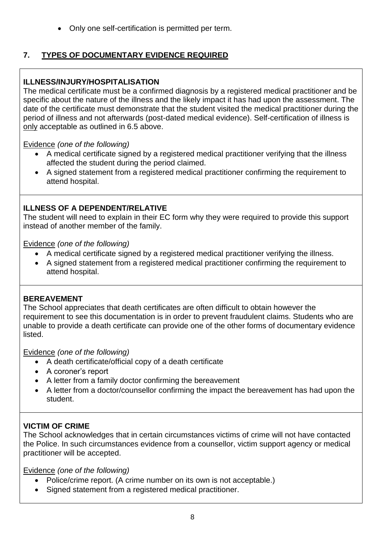Only one self-certification is permitted per term.

## <span id="page-7-0"></span>**7. TYPES OF DOCUMENTARY EVIDENCE REQUIRED**

## **ILLNESS/INJURY/HOSPITALISATION**

The medical certificate must be a confirmed diagnosis by a registered medical practitioner and be specific about the nature of the illness and the likely impact it has had upon the assessment. The date of the certificate must demonstrate that the student visited the medical practitioner during the period of illness and not afterwards (post-dated medical evidence). Self-certification of illness is only acceptable as outlined in 6.5 above.

#### Evidence *(one of the following)*

- A medical certificate signed by a registered medical practitioner verifying that the illness affected the student during the period claimed.
- A signed statement from a registered medical practitioner confirming the requirement to attend hospital.

## **ILLNESS OF A DEPENDENT/RELATIVE**

The student will need to explain in their EC form why they were required to provide this support instead of another member of the family.

Evidence *(one of the following)*

- A medical certificate signed by a registered medical practitioner verifying the illness.
- A signed statement from a registered medical practitioner confirming the requirement to attend hospital.

## **BEREAVEMENT**

The School appreciates that death certificates are often difficult to obtain however the requirement to see this documentation is in order to prevent fraudulent claims. Students who are unable to provide a death certificate can provide one of the other forms of documentary evidence listed.

Evidence *(one of the following)*

- A death certificate/official copy of a death certificate
- A coroner's report
- A letter from a family doctor confirming the bereavement
- A letter from a doctor/counsellor confirming the impact the bereavement has had upon the student.

## **VICTIM OF CRIME**

The School acknowledges that in certain circumstances victims of crime will not have contacted the Police. In such circumstances evidence from a counsellor, victim support agency or medical practitioner will be accepted.

Evidence *(one of the following)*

- Police/crime report. (A crime number on its own is not acceptable.)
- Signed statement from a registered medical practitioner.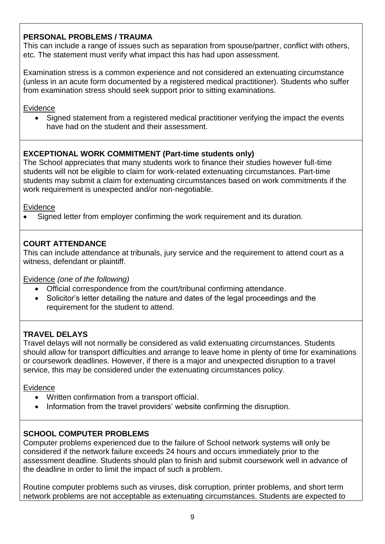### **PERSONAL PROBLEMS / TRAUMA**

This can include a range of issues such as separation from spouse/partner, conflict with others, etc. The statement must verify what impact this has had upon assessment.

Examination stress is a common experience and not considered an extenuating circumstance (unless in an acute form documented by a registered medical practitioner). Students who suffer from examination stress should seek support prior to sitting examinations.

#### **Evidence**

 Signed statement from a registered medical practitioner verifying the impact the events have had on the student and their assessment.

#### **EXCEPTIONAL WORK COMMITMENT (Part-time students only)**

The School appreciates that many students work to finance their studies however full-time students will not be eligible to claim for work-related extenuating circumstances. Part-time students may submit a claim for extenuating circumstances based on work commitments if the work requirement is unexpected and/or non-negotiable.

#### Evidence

Signed letter from employer confirming the work requirement and its duration.

### **COURT ATTENDANCE**

This can include attendance at tribunals, jury service and the requirement to attend court as a witness, defendant or plaintiff.

Evidence *(one of the following)*

- Official correspondence from the court/tribunal confirming attendance.
- Solicitor's letter detailing the nature and dates of the legal proceedings and the requirement for the student to attend.

## **TRAVEL DELAYS**

Travel delays will not normally be considered as valid extenuating circumstances. Students should allow for transport difficulties and arrange to leave home in plenty of time for examinations or coursework deadlines. However, if there is a major and unexpected disruption to a travel service, this may be considered under the extenuating circumstances policy.

#### Evidence

- Written confirmation from a transport official.
- Information from the travel providers' website confirming the disruption.

#### **SCHOOL COMPUTER PROBLEMS**

Computer problems experienced due to the failure of School network systems will only be considered if the network failure exceeds 24 hours and occurs immediately prior to the assessment deadline. Students should plan to finish and submit coursework well in advance of the deadline in order to limit the impact of such a problem.

Routine computer problems such as viruses, disk corruption, printer problems, and short term network problems are not acceptable as extenuating circumstances. Students are expected to